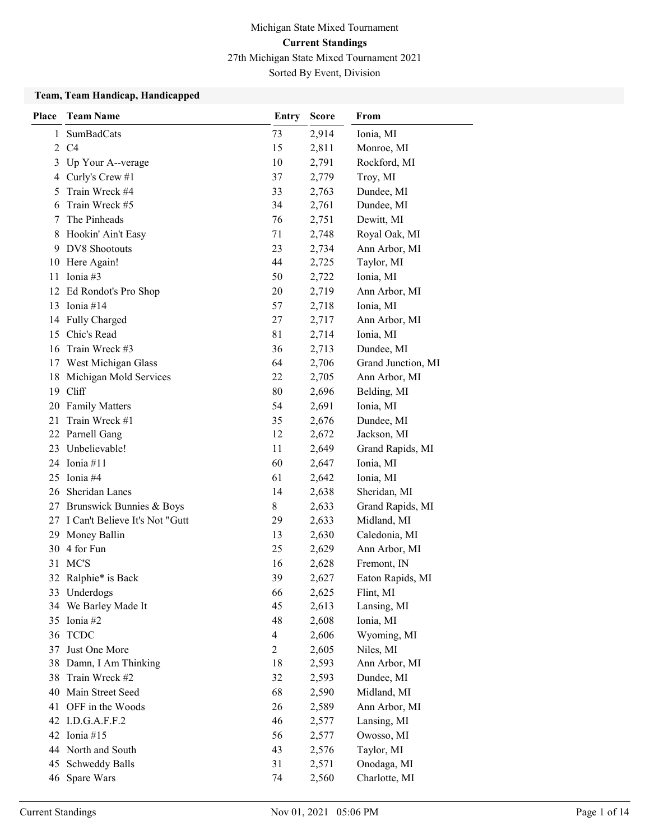## Michigan State Mixed Tournament Current Standings 27th Michigan State Mixed Tournament 2021 Sorted By Event, Division

Team, Team Handicap, Handicapped

| <b>Place</b> | <b>Team Name</b>                  | <b>Entry</b>   | <b>Score</b> | From               |
|--------------|-----------------------------------|----------------|--------------|--------------------|
| 1            | <b>SumBadCats</b>                 | 73             | 2,914        | Ionia, MI          |
| $\mathbf{2}$ | C4                                | 15             | 2,811        | Monroe, MI         |
| 3            | Up Your A--verage                 | 10             | 2,791        | Rockford, MI       |
| 4            | Curly's Crew #1                   | 37             | 2,779        | Troy, MI           |
| 5            | Train Wreck #4                    | 33             | 2,763        | Dundee, MI         |
| 6            | Train Wreck #5                    | 34             | 2,761        | Dundee, MI         |
| 7            | The Pinheads                      | 76             | 2,751        | Dewitt, MI         |
| 8            | Hookin' Ain't Easy                | 71             | 2,748        | Royal Oak, MI      |
| 9            | <b>DV8</b> Shootouts              | 23             | 2,734        | Ann Arbor, MI      |
|              | 10 Here Again!                    | 44             | 2,725        | Taylor, MI         |
| 11           | Ionia #3                          | 50             | 2,722        | Ionia, MI          |
|              | 12 Ed Rondot's Pro Shop           | 20             | 2,719        | Ann Arbor, MI      |
| 13           | Ionia #14                         | 57             | 2,718        | Ionia, MI          |
|              | 14 Fully Charged                  | 27             | 2,717        | Ann Arbor, MI      |
| 15           | Chic's Read                       | 81             | 2,714        | Ionia, MI          |
| 16           | Train Wreck #3                    | 36             | 2,713        | Dundee, MI         |
| 17           | West Michigan Glass               | 64             | 2,706        | Grand Junction, MI |
| 18           | Michigan Mold Services            | 22             | 2,705        | Ann Arbor, MI      |
| 19           | Cliff                             | 80             | 2,696        | Belding, MI        |
|              | 20 Family Matters                 | 54             | 2,691        | Ionia, MI          |
| 21           | Train Wreck #1                    | 35             | 2,676        | Dundee, MI         |
| 22           | Parnell Gang                      | 12             | 2,672        | Jackson, MI        |
| 23           | Unbelievable!                     | 11             | 2,649        | Grand Rapids, MI   |
|              | 24 Ionia #11                      | 60             | 2,647        | Ionia, MI          |
| 25           | Ionia #4                          | 61             | 2,642        | Ionia, MI          |
| 26           | Sheridan Lanes                    | 14             | 2,638        | Sheridan, MI       |
| 27           | Brunswick Bunnies & Boys          | 8              | 2,633        | Grand Rapids, MI   |
|              | 27 I Can't Believe It's Not "Gutt | 29             | 2,633        | Midland, MI        |
| 29           | Money Ballin                      | 13             | 2,630        | Caledonia, MI      |
| 30           | 4 for Fun                         | 25             | 2,629        | Ann Arbor, MI      |
| 31           | MC'S                              | 16             | 2,628        | Fremont, IN        |
|              | 32 Ralphie* is Back               | 39             | 2,627        | Eaton Rapids, MI   |
|              | 33 Underdogs                      | 66             | 2,625        | Flint, MI          |
| 34           | We Barley Made It                 | 45             | 2,613        | Lansing, MI        |
|              | 35 Ionia #2                       | 48             | 2,608        | Ionia, MI          |
| 36           | <b>TCDC</b>                       | $\overline{4}$ | 2,606        | Wyoming, MI        |
| 37           | Just One More                     | $\overline{2}$ | 2,605        | Niles, MI          |
| 38           | Damn, I Am Thinking               | 18             | 2,593        | Ann Arbor, MI      |
| 38           | Train Wreck #2                    | 32             | 2,593        | Dundee, MI         |
| 40           | Main Street Seed                  | 68             | 2,590        | Midland, MI        |
| 41           | OFF in the Woods                  | 26             | 2,589        | Ann Arbor, MI      |
|              | 42 I.D.G.A.F.F.2                  | 46             | 2,577        | Lansing, MI        |
|              | 42 Ionia #15                      | 56             | 2,577        | Owosso, MI         |
|              | 44 North and South                | 43             | 2,576        | Taylor, MI         |
| 45           | <b>Schweddy Balls</b>             | 31             | 2,571        | Onodaga, MI        |
| 46           | Spare Wars                        | 74             | 2,560        | Charlotte, MI      |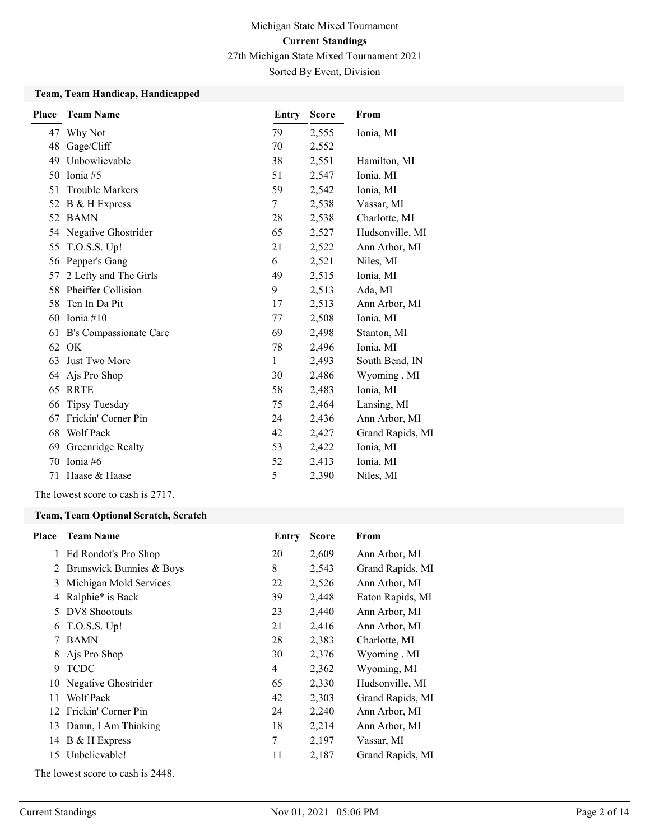Sorted By Event, Division

### Team, Team Handicap, Handicapped

| <b>Place</b> | <b>Team Name</b>       | Entry        | <b>Score</b> | From             |
|--------------|------------------------|--------------|--------------|------------------|
|              | 47 Why Not             | 79           | 2,555        | Ionia, MI        |
| 48           | Gage/Cliff             | 70           | 2,552        |                  |
| 49           | Unbowlievable          | 38           | 2,551        | Hamilton, MI     |
| 50           | Ionia #5               | 51           | 2,547        | Ionia, MI        |
| 51           | <b>Trouble Markers</b> | 59           | 2,542        | Ionia, MI        |
| 52           | B & H Express          | 7            | 2,538        | Vassar, MI       |
|              | 52 BAMN                | 28           | 2,538        | Charlotte, MI    |
| 54           | Negative Ghostrider    | 65           | 2,527        | Hudsonville, MI  |
| 55           | T.O.S.S. Up!           | 21           | 2,522        | Ann Arbor, MI    |
| 56           | Pepper's Gang          | 6            | 2,521        | Niles, MI        |
| 57           | 2 Lefty and The Girls  | 49           | 2,515        | Ionia, MI        |
| 58           | Pheiffer Collision     | 9            | 2,513        | Ada, MI          |
| 58           | Ten In Da Pit          | 17           | 2,513        | Ann Arbor, MI    |
| 60           | Ionia #10              | 77           | 2,508        | Ionia, MI        |
| 61           | B's Compassionate Care | 69           | 2,498        | Stanton, MI      |
|              | 62 OK                  | 78           | 2,496        | Ionia, MI        |
| 63           | Just Two More          | $\mathbf{1}$ | 2,493        | South Bend, IN   |
| 64           | Ajs Pro Shop           | 30           | 2,486        | Wyoming, MI      |
|              | 65 RRTE                | 58           | 2,483        | Ionia, MI        |
| 66           | <b>Tipsy Tuesday</b>   | 75           | 2,464        | Lansing, MI      |
| 67           | Frickin' Corner Pin    | 24           | 2,436        | Ann Arbor, MI    |
| 68           | Wolf Pack              | 42           | 2,427        | Grand Rapids, MI |
| 69           | Greenridge Realty      | 53           | 2,422        | Ionia, MI        |
| 70           | Tonia #6               | 52           | 2,413        | Ionia, MI        |
| 71           | Haase & Haase          | 5            | 2,390        | Niles, MI        |

The lowest score to cash is 2717.

#### Team, Team Optional Scratch, Scratch

| Place | <b>Team Name</b>                  | Entry | <b>Score</b> | From             |
|-------|-----------------------------------|-------|--------------|------------------|
|       | 1 Ed Rondot's Pro Shop            | 20    | 2,609        | Ann Arbor, MI    |
| 2     | Brunswick Bunnies & Boys          | 8     | 2,543        | Grand Rapids, MI |
| 3     | Michigan Mold Services            | 22    | 2,526        | Ann Arbor, MI    |
| 4     | Ralphie* is Back                  | 39    | 2,448        | Eaton Rapids, MI |
| 5.    | DV8 Shootouts                     | 23    | 2,440        | Ann Arbor, MI    |
| 6     | $T.O.S.S.$ Up!                    | 21    | 2,416        | Ann Arbor, MI    |
| 7     | <b>BAMN</b>                       | 28    | 2,383        | Charlotte, MI    |
| 8     | Ajs Pro Shop                      | 30    | 2,376        | Wyoming, MI      |
| 9     | <b>TCDC</b>                       | 4     | 2,362        | Wyoming, MI      |
| 10    | Negative Ghostrider               | 65    | 2,330        | Hudsonville, MI  |
| 11    | Wolf Pack                         | 42    | 2,303        | Grand Rapids, MI |
|       | 12 Frickin' Corner Pin            | 24    | 2,240        | Ann Arbor, MI    |
|       | 13 Damn, I Am Thinking            | 18    | 2,214        | Ann Arbor, MI    |
|       | 14 B & H Express                  | 7     | 2,197        | Vassar, MI       |
|       | 15 Unbelievable!                  | 11    | 2,187        | Grand Rapids, MI |
|       | The lowest score to cash is 2448. |       |              |                  |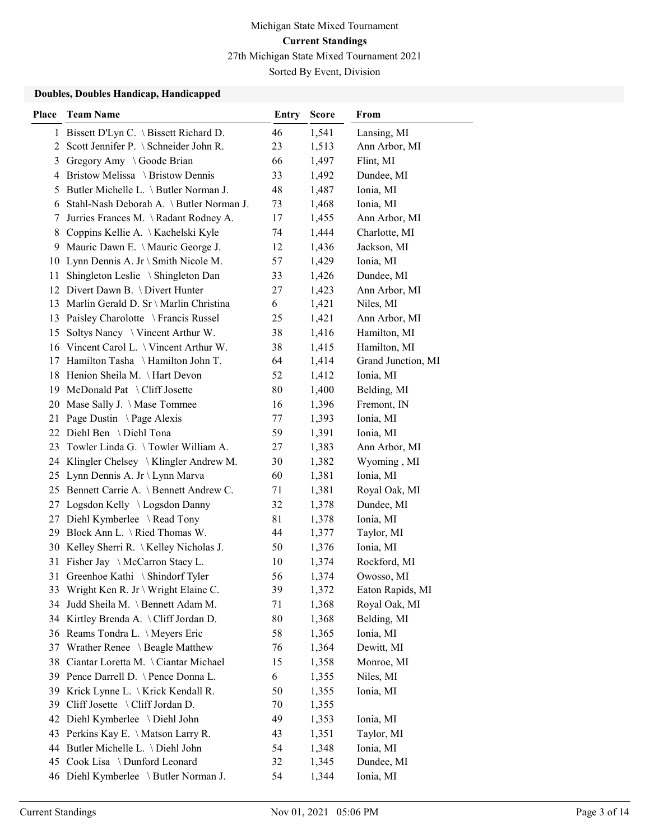Sorted By Event, Division

#### Doubles, Doubles Handicap, Handicapped

| <b>Place</b> | <b>Team Name</b>                                                          | <b>Entry</b> | <b>Score</b>   | From                    |
|--------------|---------------------------------------------------------------------------|--------------|----------------|-------------------------|
|              | 1 Bissett D'Lyn C. \ Bissett Richard D.                                   | 46           | 1,541          | Lansing, MI             |
| 2            | Scott Jennifer P. \ Schneider John R.                                     | 23           | 1,513          | Ann Arbor, MI           |
| 3            | Gregory Amy \ Goode Brian                                                 | 66           | 1,497          | Flint, MI               |
|              | 4 Bristow Melissa \ Bristow Dennis                                        | 33           | 1,492          | Dundee, MI              |
| 5.           | Butler Michelle L. \ Butler Norman J.                                     | 48           | 1,487          | Ionia, MI               |
| 6            | Stahl-Nash Deborah A. \ Butler Norman J.                                  | 73           | 1,468          | Ionia, MI               |
| 7            | Jurries Frances M. \Radant Rodney A.                                      | 17           | 1,455          | Ann Arbor, MI           |
| 8            | Coppins Kellie A. \Kachelski Kyle                                         | 74           | 1,444          | Charlotte, MI           |
| 9            | Mauric Dawn E. \ Mauric George J.                                         | 12           | 1,436          | Jackson, MI             |
| 10           | Lynn Dennis A. Jr \ Smith Nicole M.                                       | 57           | 1,429          | Ionia, MI               |
| 11           | Shingleton Leslie \ Shingleton Dan                                        | 33           | 1,426          | Dundee, MI              |
|              | 12 Divert Dawn B. \ Divert Hunter                                         | 27           | 1,423          | Ann Arbor, MI           |
|              | 13 Marlin Gerald D. Sr \ Marlin Christina                                 | 6            | 1,421          | Niles, MI               |
|              | 13 Paisley Charolotte \ Francis Russel                                    | 25           | 1,421          | Ann Arbor, MI           |
|              | 15 Soltys Nancy \ Vincent Arthur W.                                       | 38           | 1,416          | Hamilton, MI            |
|              | 16 Vincent Carol L. \ Vincent Arthur W.                                   | 38           | 1,415          | Hamilton, MI            |
|              | 17 Hamilton Tasha \ Hamilton John T.                                      | 64           | 1,414          | Grand Junction, MI      |
|              | 18 Henion Sheila M. \Hart Devon                                           | 52           | 1,412          | Ionia, MI               |
|              | 19 McDonald Pat \ Cliff Josette                                           | 80           | 1,400          | Belding, MI             |
|              | 20 Mase Sally J. \ Mase Tommee                                            | 16           | 1,396          | Fremont, IN             |
| 21           | Page Dustin \Page Alexis                                                  | 77           | 1,393          | Ionia, MI               |
|              | 22 Diehl Ben \ Diehl Tona                                                 | 59           | 1,391          | Ionia, MI               |
|              | 23 Towler Linda G. \Towler William A.                                     | 27           | 1,383          | Ann Arbor, MI           |
|              | 24 Klingler Chelsey \ Klingler Andrew M.                                  | 30           | 1,382          | Wyoming, MI             |
|              | 25 Lynn Dennis A. Jr \ Lynn Marva                                         | 60           | 1,381          | Ionia, MI               |
|              | 25 Bennett Carrie A. \Bennett Andrew C.                                   | 71           | 1,381          | Royal Oak, MI           |
|              | 27 Logsdon Kelly \ Logsdon Danny                                          | 32           | 1,378          | Dundee, MI              |
| 27           | Diehl Kymberlee \ Read Tony                                               | 81           | 1,378          | Ionia, MI               |
|              | 29 Block Ann L. \ Ried Thomas W.                                          | 44           | 1,377          | Taylor, MI              |
|              | 30 Kelley Sherri R. \Kelley Nicholas J.                                   | 50           | 1,376          | Ionia, MI               |
|              | 31 Fisher Jay \McCarron Stacy L.                                          | 10           | 1,374          | Rockford, MI            |
|              | 31 Greenhoe Kathi \ Shindorf Tyler                                        | 56           | 1,374          | Owosso, MI              |
|              | 33 Wright Ken R. Jr \ Wright Elaine C.                                    | 39           | 1,372          | Eaton Rapids, MI        |
| 34           | Judd Sheila M. \Bennett Adam M.                                           | 71           | 1,368          | Royal Oak, MI           |
|              | 34 Kirtley Brenda A. \Cliff Jordan D.                                     | 80           | 1,368          | Belding, MI             |
|              | 36 Reams Tondra L. \Meyers Eric                                           | 58           | 1,365          | Ionia, MI               |
|              | 37 Wrather Renee \ Beagle Matthew                                         | 76           | 1,364          | Dewitt, MI              |
| 38           | Ciantar Loretta M. \Ciantar Michael                                       | 15           | 1,358          | Monroe, MI              |
|              | 39 Pence Darrell D. \Pence Donna L.                                       | 6            | 1,355          | Niles, MI               |
| 39<br>39     | Krick Lynne L. \Krick Kendall R.<br>Cliff Josette \ Cliff Jordan D.       | 50<br>70     | 1,355          | Ionia, MI               |
|              |                                                                           |              | 1,355          |                         |
|              | 42 Diehl Kymberlee \ Diehl John                                           | 49           | 1,353          | Ionia, MI               |
|              | 43 Perkins Kay E. \ Matson Larry R.<br>44 Butler Michelle L. \ Diehl John | 43           | 1,351          | Taylor, MI              |
|              | 45 Cook Lisa \ Dunford Leonard                                            | 54<br>32     | 1,348<br>1,345 | Ionia, MI<br>Dundee, MI |
|              |                                                                           | 54           |                |                         |
|              | 46 Diehl Kymberlee \ Butler Norman J.                                     |              | 1,344          | Ionia, MI               |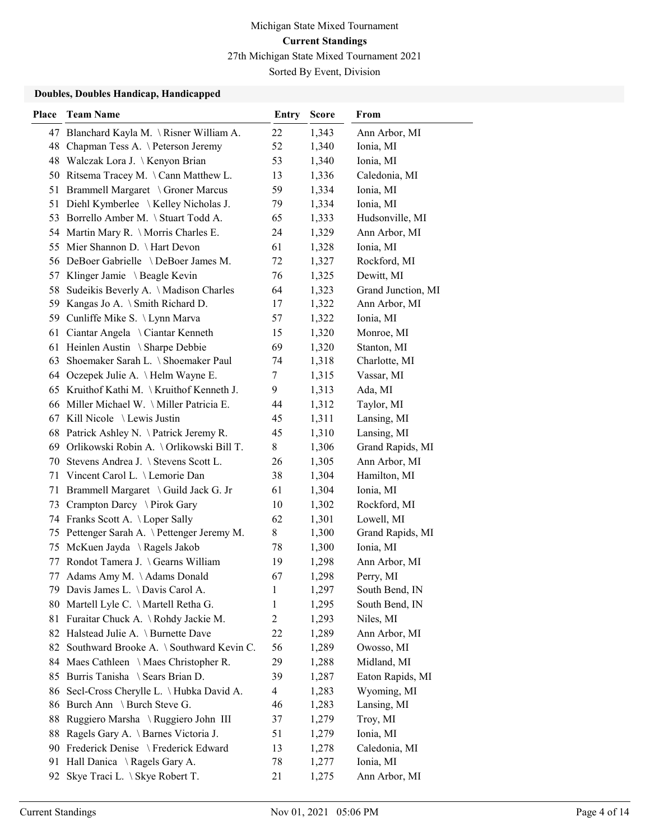Sorted By Event, Division

#### Doubles, Doubles Handicap, Handicapped

| <b>Place</b> | <b>Team Name</b>                            | <b>Entry</b>   | <b>Score</b> | From               |
|--------------|---------------------------------------------|----------------|--------------|--------------------|
|              | 47 Blanchard Kayla M. \Risner William A.    | 22             | 1,343        | Ann Arbor, MI      |
|              | 48 Chapman Tess A. \Peterson Jeremy         | 52             | 1,340        | Ionia, MI          |
|              | 48 Walczak Lora J. \Kenyon Brian            | 53             | 1,340        | Ionia, MI          |
|              | 50 Ritsema Tracey M. \Cann Matthew L.       | 13             | 1,336        | Caledonia, MI      |
|              | 51 Brammell Margaret \ Groner Marcus        | 59             | 1,334        | Ionia, MI          |
| 51           | Diehl Kymberlee \ Kelley Nicholas J.        | 79             | 1,334        | Ionia, MI          |
|              | 53 Borrello Amber M. \ Stuart Todd A.       | 65             | 1,333        | Hudsonville, MI    |
|              | 54 Martin Mary R. \ Morris Charles E.       | 24             | 1,329        | Ann Arbor, MI      |
| 55           | Mier Shannon D. \ Hart Devon                | 61             | 1,328        | Ionia, MI          |
|              | 56 DeBoer Gabrielle \DeBoer James M.        | 72             | 1,327        | Rockford, MI       |
|              | 57 Klinger Jamie \ Beagle Kevin             | 76             | 1,325        | Dewitt, MI         |
|              | 58 Sudeikis Beverly A. \Madison Charles     | 64             | 1,323        | Grand Junction, MI |
|              | 59 Kangas Jo A. \ Smith Richard D.          | 17             | 1,322        | Ann Arbor, MI      |
|              | 59 Cunliffe Mike S. \ Lynn Marva            | 57             | 1,322        | Ionia, MI          |
|              | 61 Ciantar Angela \ Ciantar Kenneth         | 15             | 1,320        | Monroe, MI         |
|              | 61 Heinlen Austin \ Sharpe Debbie           | 69             | 1,320        | Stanton, MI        |
|              | 63 Shoemaker Sarah L. \ Shoemaker Paul      | 74             | 1,318        | Charlotte, MI      |
|              | 64 Oczepek Julie A. \ Helm Wayne E.         | 7              | 1,315        | Vassar, MI         |
|              | 65 Kruithof Kathi M. \Kruithof Kenneth J.   | 9              | 1,313        | Ada, MI            |
|              | 66 Miller Michael W. \ Miller Patricia E.   | 44             | 1,312        | Taylor, MI         |
|              | 67 Kill Nicole \Lewis Justin                | 45             | 1,311        | Lansing, MI        |
|              | 68 Patrick Ashley N. \Patrick Jeremy R.     | 45             | 1,310        | Lansing, MI        |
|              | 69 Orlikowski Robin A. \Orlikowski Bill T.  | 8              | 1,306        | Grand Rapids, MI   |
| 70           | Stevens Andrea J. \ Stevens Scott L.        | 26             | 1,305        | Ann Arbor, MI      |
| 71           | Vincent Carol L. \ Lemorie Dan              | 38             | 1,304        | Hamilton, MI       |
|              | 71 Brammell Margaret \ Guild Jack G. Jr     | 61             | 1,304        | Ionia, MI          |
|              | 73 Crampton Darcy \ Pirok Gary              | 10             | 1,302        | Rockford, MI       |
|              | 74 Franks Scott A. \Loper Sally             | 62             | 1,301        | Lowell, MI         |
|              | 75 Pettenger Sarah A. \Pettenger Jeremy M.  | 8              | 1,300        | Grand Rapids, MI   |
| 75           | McKuen Jayda \ Ragels Jakob                 | 78             | 1,300        | Ionia, MI          |
| 77           | Rondot Tamera J. \Gearns William            | 19             | 1,298        | Ann Arbor, MI      |
| 77           | Adams Amy M. \Adams Donald                  | 67             | 1,298        | Perry, MI          |
|              | 79 Davis James L. \Davis Carol A.           | 1              | 1,297        | South Bend, IN     |
| 80           | Martell Lyle C. \Martell Retha G.           | 1              | 1,295        | South Bend, IN     |
| 81           | Furaitar Chuck A. \ Rohdy Jackie M.         | $\overline{c}$ | 1,293        | Niles, MI          |
|              | 82 Halstead Julie A. \ Burnette Dave        | 22             | 1,289        | Ann Arbor, MI      |
|              | 82 Southward Brooke A. \ Southward Kevin C. | 56             | 1,289        | Owosso, MI         |
|              | 84 Maes Cathleen \ Maes Christopher R.      | 29             | 1,288        | Midland, MI        |
|              | 85 Burris Tanisha \ Sears Brian D.          | 39             | 1,287        | Eaton Rapids, MI   |
| 86           | Secl-Cross Cherylle L. \ Hubka David A.     | $\overline{4}$ | 1,283        | Wyoming, MI        |
|              | 86 Burch Ann \ Burch Steve G.               | 46             | 1,283        | Lansing, MI        |
| 88           | Ruggiero Marsha \ Ruggiero John III         | 37             | 1,279        | Troy, MI           |
| 88           | Ragels Gary A. \ Barnes Victoria J.         | 51             | 1,279        | Ionia, MI          |
| 90           | Frederick Denise \ Frederick Edward         | 13             | 1,278        | Caledonia, MI      |
| 91           | Hall Danica \ Ragels Gary A.                | 78             | 1,277        | Ionia, MI          |
| 92           | Skye Traci L. \ Skye Robert T.              | 21             | 1,275        | Ann Arbor, MI      |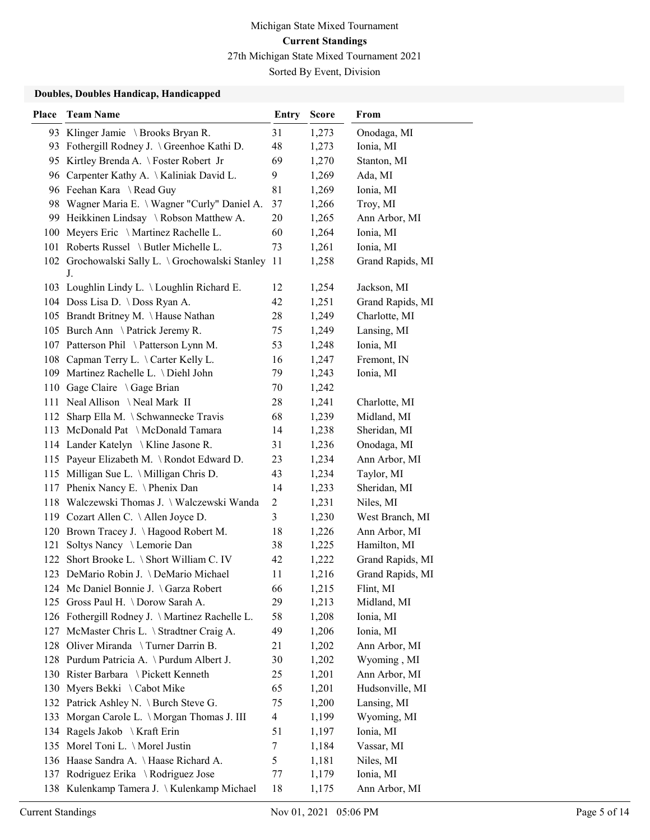Sorted By Event, Division

### Doubles, Doubles Handicap, Handicapped

| Place | <b>Team Name</b>                                   | <b>Entry</b>   | <b>Score</b> | From             |
|-------|----------------------------------------------------|----------------|--------------|------------------|
|       | 93 Klinger Jamie \ Brooks Bryan R.                 | 31             | 1,273        | Onodaga, MI      |
|       | 93 Fothergill Rodney J. \Greenhoe Kathi D.         | 48             | 1,273        | Ionia, MI        |
|       | 95 Kirtley Brenda A. \Foster Robert Jr             | 69             | 1,270        | Stanton, MI      |
| 96    | Carpenter Kathy A. \Kaliniak David L.              | 9              | 1,269        | Ada, MI          |
|       | 96 Feehan Kara \ Read Guy                          | 81             | 1,269        | Ionia, MI        |
|       | 98 Wagner Maria E. \ Wagner "Curly" Daniel A.      | 37             | 1,266        | Troy, MI         |
|       | 99 Heikkinen Lindsay \Robson Matthew A.            | 20             | 1,265        | Ann Arbor, MI    |
|       | 100 Meyers Eric \Martinez Rachelle L.              | 60             | 1,264        | Ionia, MI        |
|       | 101 Roberts Russel \ Butler Michelle L.            | 73             | 1,261        | Ionia, MI        |
|       | 102 Grochowalski Sally L. \Grochowalski Stanley 11 |                | 1,258        | Grand Rapids, MI |
|       | J.                                                 |                |              |                  |
|       | 103 Loughlin Lindy L. \Loughlin Richard E.         | 12             | 1,254        | Jackson, MI      |
|       | 104 Doss Lisa D. \ Doss Ryan A.                    | 42             | 1,251        | Grand Rapids, MI |
|       | 105 Brandt Britney M. \Hause Nathan                | 28             | 1,249        | Charlotte, MI    |
|       | 105 Burch Ann \Patrick Jeremy R.                   | 75             | 1,249        | Lansing, MI      |
|       | 107 Patterson Phil \ Patterson Lynn M.             | 53             | 1,248        | Ionia, MI        |
|       | 108 Capman Terry L. \Carter Kelly L.               | 16             | 1,247        | Fremont, IN      |
|       | 109 Martinez Rachelle L. \ Diehl John              | 79             | 1,243        | Ionia, MI        |
|       | 110 Gage Claire \ Gage Brian                       | 70             | 1,242        |                  |
|       | 111 Neal Allison \Neal Mark II                     | 28             | 1,241        | Charlotte, MI    |
| 112   | Sharp Ella M. \ Schwannecke Travis                 | 68             | 1,239        | Midland, MI      |
|       | 113 McDonald Pat \McDonald Tamara                  | 14             | 1,238        | Sheridan, MI     |
|       | 114 Lander Katelyn \ Kline Jasone R.               | 31             | 1,236        | Onodaga, MI      |
|       | 115 Payeur Elizabeth M. \Rondot Edward D.          | 23             | 1,234        | Ann Arbor, MI    |
|       | 115 Milligan Sue L. \ Milligan Chris D.            | 43             | 1,234        | Taylor, MI       |
|       | 117 Phenix Nancy E. \ Phenix Dan                   | 14             | 1,233        | Sheridan, MI     |
|       | 118 Walczewski Thomas J. \ Walczewski Wanda        | $\overline{c}$ | 1,231        | Niles, MI        |
|       | 119 Cozart Allen C. \Allen Joyce D.                | 3              | 1,230        | West Branch, MI  |
|       | 120 Brown Tracey J. \Hagood Robert M.              | 18             | 1,226        | Ann Arbor, MI    |
| 121   | Soltys Nancy \Lemorie Dan                          | 38             | 1,225        | Hamilton, MI     |
| 122   | Short Brooke L. \ Short William C. IV              | 42             | 1,222        | Grand Rapids, MI |
|       | 123 DeMario Robin J. \DeMario Michael              | 11             | 1,216        | Grand Rapids, MI |
|       | 124 Mc Daniel Bonnie J. \Garza Robert              | 66             | 1,215        | Flint, MI        |
|       | 125 Gross Paul H. \ Dorow Sarah A.                 | 29             | 1,213        | Midland, MI      |
|       | 126 Fothergill Rodney J. \Martinez Rachelle L.     | 58             | 1,208        | Ionia, MI        |
|       | 127 McMaster Chris L. \ Stradtner Craig A.         | 49             | 1,206        | Ionia, MI        |
|       | 128 Oliver Miranda \ Turner Darrin B.              | 21             | 1,202        | Ann Arbor, MI    |
|       | 128 Purdum Patricia A. \ Purdum Albert J.          | 30             | 1,202        | Wyoming, MI      |
|       | 130 Rister Barbara \ Pickett Kenneth               | 25             | 1,201        | Ann Arbor, MI    |
|       | 130 Myers Bekki \ Cabot Mike                       | 65             | 1,201        | Hudsonville, MI  |
|       | 132 Patrick Ashley N. \ Burch Steve G.             | 75             | 1,200        | Lansing, MI      |
|       | 133 Morgan Carole L. \ Morgan Thomas J. III        | 4              | 1,199        | Wyoming, MI      |
|       | 134 Ragels Jakob \ Kraft Erin                      | 51             | 1,197        | Ionia, MI        |
|       | 135 Morel Toni L. \ Morel Justin                   | 7              | 1,184        | Vassar, MI       |
|       | 136 Haase Sandra A. \Haase Richard A.              | 5              | 1,181        | Niles, MI        |
|       | 137 Rodriguez Erika \ Rodriguez Jose               | 77             | 1,179        | Ionia, MI        |
|       | 138 Kulenkamp Tamera J. \Kulenkamp Michael         | 18             | 1,175        | Ann Arbor, MI    |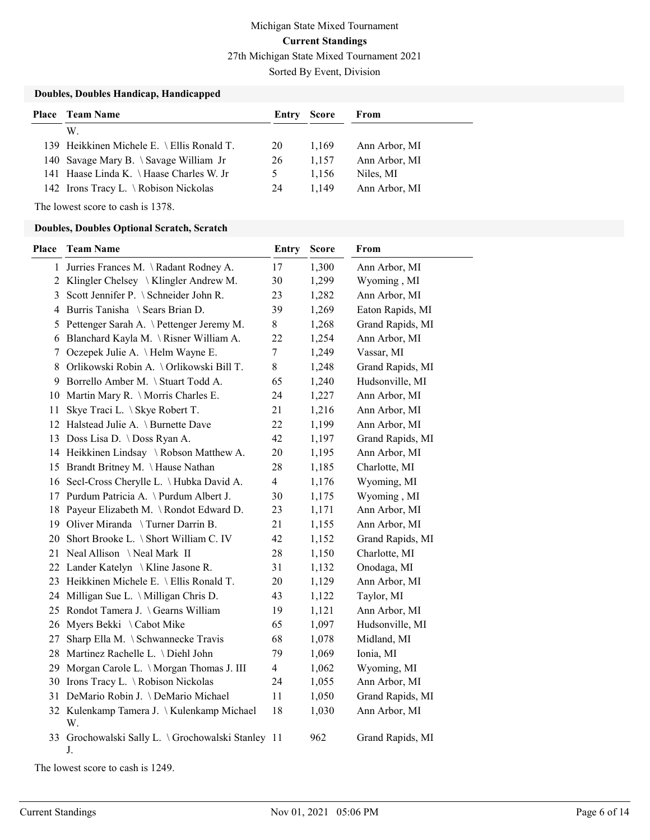Sorted By Event, Division

### Doubles, Doubles Handicap, Handicapped

| <b>Place</b> Team Name                     | Entry | Score | From          |
|--------------------------------------------|-------|-------|---------------|
| W.                                         |       |       |               |
| 139 Heikkinen Michele E. \ Ellis Ronald T. | 20    | 1.169 | Ann Arbor, MI |
| 140 Savage Mary B. \ Savage William Jr     | 26    | 1.157 | Ann Arbor, MI |
| 141 Haase Linda K. \ Haase Charles W. Jr   |       | 1.156 | Niles, MI     |
| 142 Irons Tracy L. \Robison Nickolas       | 24    | 1.149 | Ann Arbor, MI |

The lowest score to cash is 1378.

### Doubles, Doubles Optional Scratch, Scratch

| Place | <b>Team Name</b>                                        | <b>Entry</b>   | <b>Score</b> | From             |
|-------|---------------------------------------------------------|----------------|--------------|------------------|
|       | 1 Jurries Frances M. \Radant Rodney A.                  | 17             | 1,300        | Ann Arbor, MI    |
|       | 2 Klingler Chelsey \ Klingler Andrew M.                 | 30             | 1,299        | Wyoming, MI      |
| 3     | Scott Jennifer P. \ Schneider John R.                   | 23             | 1,282        | Ann Arbor, MI    |
|       | 4 Burris Tanisha \ Sears Brian D.                       | 39             | 1,269        | Eaton Rapids, MI |
| 5     | Pettenger Sarah A. \ Pettenger Jeremy M.                | 8              | 1,268        | Grand Rapids, MI |
| 6     | Blanchard Kayla M. \Risner William A.                   | 22             | 1,254        | Ann Arbor, MI    |
| 7     | Oczepek Julie A. \ Helm Wayne E.                        | $\tau$         | 1,249        | Vassar, MI       |
| 8     | Orlikowski Robin A. \Orlikowski Bill T.                 | 8              | 1,248        | Grand Rapids, MI |
| 9     | Borrello Amber M. \ Stuart Todd A.                      | 65             | 1,240        | Hudsonville, MI  |
|       | 10 Martin Mary R. \ Morris Charles E.                   | 24             | 1,227        | Ann Arbor, MI    |
| 11    | Skye Traci L. \ Skye Robert T.                          | 21             | 1,216        | Ann Arbor, MI    |
|       | 12 Halstead Julie A. \ Burnette Dave                    | 22             | 1,199        | Ann Arbor, MI    |
|       | 13 Doss Lisa D. \ Doss Ryan A.                          | 42             | 1,197        | Grand Rapids, MI |
|       | 14 Heikkinen Lindsay \Robson Matthew A.                 | 20             | 1,195        | Ann Arbor, MI    |
|       | 15 Brandt Britney M. \Hause Nathan                      | 28             | 1,185        | Charlotte, MI    |
|       | 16 Secl-Cross Cherylle L. \ Hubka David A.              | $\overline{4}$ | 1,176        | Wyoming, MI      |
|       | 17 Purdum Patricia A. \ Purdum Albert J.                | 30             | 1,175        | Wyoming, MI      |
|       | 18 Payeur Elizabeth M. \ Rondot Edward D.               | 23             | 1,171        | Ann Arbor, MI    |
|       | 19 Oliver Miranda \ Turner Darrin B.                    | 21             | 1,155        | Ann Arbor, MI    |
|       | 20 Short Brooke L. \ Short William C. IV                | 42             | 1,152        | Grand Rapids, MI |
|       | 21 Neal Allison \Neal Mark II                           | 28             | 1,150        | Charlotte, MI    |
|       | 22 Lander Katelyn \Kline Jasone R.                      | 31             | 1,132        | Onodaga, MI      |
|       | 23 Heikkinen Michele E. \ Ellis Ronald T.               | 20             | 1,129        | Ann Arbor, MI    |
|       | 24 Milligan Sue L. \ Milligan Chris D.                  | 43             | 1,122        | Taylor, MI       |
|       | 25 Rondot Tamera J. \Gearns William                     | 19             | 1,121        | Ann Arbor, MI    |
|       | 26 Myers Bekki \ Cabot Mike                             | 65             | 1,097        | Hudsonville, MI  |
| 27    | Sharp Ella M. \ Schwannecke Travis                      | 68             | 1,078        | Midland, MI      |
|       | 28 Martinez Rachelle L. \ Diehl John                    | 79             | 1,069        | Ionia, MI        |
|       | 29 Morgan Carole L. \Morgan Thomas J. III               | $\overline{4}$ | 1,062        | Wyoming, MI      |
|       | 30 Irons Tracy L. \Robison Nickolas                     | 24             | 1,055        | Ann Arbor, MI    |
|       | 31 DeMario Robin J. \DeMario Michael                    | 11             | 1,050        | Grand Rapids, MI |
|       | 32 Kulenkamp Tamera J. \Kulenkamp Michael<br>W.         | 18             | 1,030        | Ann Arbor, MI    |
|       | 33 Grochowalski Sally L. \Grochowalski Stanley 11<br>J. |                | 962          | Grand Rapids, MI |

The lowest score to cash is 1249.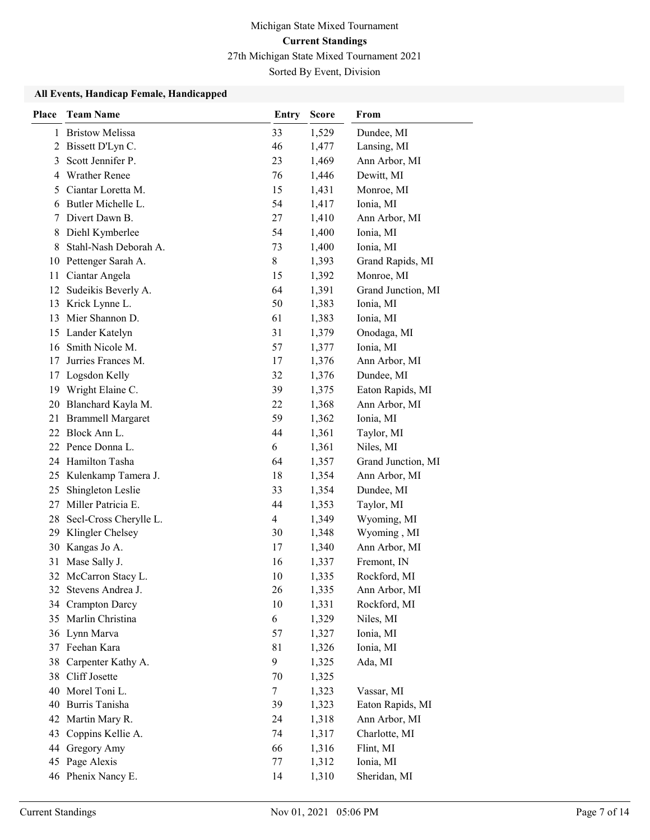Sorted By Event, Division

### All Events, Handicap Female, Handicapped

| <b>Place</b> | <b>Team Name</b>         | <b>Entry</b>   | <b>Score</b> | From               |
|--------------|--------------------------|----------------|--------------|--------------------|
| 1            | <b>Bristow Melissa</b>   | 33             | 1,529        | Dundee, MI         |
| 2            | Bissett D'Lyn C.         | 46             | 1,477        | Lansing, MI        |
| 3            | Scott Jennifer P.        | 23             | 1,469        | Ann Arbor, MI      |
| 4            | <b>Wrather Renee</b>     | 76             | 1,446        | Dewitt, MI         |
| 5            | Ciantar Loretta M.       | 15             | 1,431        | Monroe, MI         |
| 6            | Butler Michelle L.       | 54             | 1,417        | Ionia, MI          |
| 7            | Divert Dawn B.           | 27             | 1,410        | Ann Arbor, MI      |
| 8            | Diehl Kymberlee          | 54             | 1,400        | Ionia, MI          |
| 8            | Stahl-Nash Deborah A.    | 73             | 1,400        | Ionia, MI          |
| 10           | Pettenger Sarah A.       | 8              | 1,393        | Grand Rapids, MI   |
| 11           | Ciantar Angela           | 15             | 1,392        | Monroe, MI         |
| 12           | Sudeikis Beverly A.      | 64             | 1,391        | Grand Junction, MI |
| 13           | Krick Lynne L.           | 50             | 1,383        | Ionia, MI          |
| 13           | Mier Shannon D.          | 61             | 1,383        | Ionia, MI          |
| 15           | Lander Katelyn           | 31             | 1,379        | Onodaga, MI        |
| 16           | Smith Nicole M.          | 57             | 1,377        | Ionia, MI          |
| 17           | Jurries Frances M.       | 17             | 1,376        | Ann Arbor, MI      |
| 17           | Logsdon Kelly            | 32             | 1,376        | Dundee, MI         |
| 19           | Wright Elaine C.         | 39             | 1,375        | Eaton Rapids, MI   |
| 20           | Blanchard Kayla M.       | 22             | 1,368        | Ann Arbor, MI      |
| 21           | <b>Brammell Margaret</b> | 59             | 1,362        | Ionia, MI          |
|              | 22 Block Ann L.          | 44             | 1,361        | Taylor, MI         |
|              | 22 Pence Donna L.        | 6              | 1,361        | Niles, MI          |
|              | 24 Hamilton Tasha        | 64             | 1,357        | Grand Junction, MI |
|              | 25 Kulenkamp Tamera J.   | 18             | 1,354        | Ann Arbor, MI      |
| 25           | Shingleton Leslie        | 33             | 1,354        | Dundee, MI         |
| 27           | Miller Patricia E.       | 44             | 1,353        | Taylor, MI         |
| 28           | Secl-Cross Cherylle L.   | $\overline{4}$ | 1,349        | Wyoming, MI        |
| 29           | Klingler Chelsey         | 30             | 1,348        | Wyoming, MI        |
| 30           | Kangas Jo A.             | 17             | 1,340        | Ann Arbor, MI      |
| 31           | Mase Sally J.            | 16             | 1,337        | Fremont, IN        |
|              | 32 McCarron Stacy L.     | 10             | 1,335        | Rockford, MI       |
|              | 32 Stevens Andrea J.     | 26             | 1,335        | Ann Arbor, MI      |
| 34           | <b>Crampton Darcy</b>    | 10             | 1,331        | Rockford, MI       |
| 35           | Marlin Christina         | 6              | 1,329        | Niles, MI          |
|              | 36 Lynn Marva            | 57             | 1,327        | Ionia, MI          |
|              | 37 Feehan Kara           | 81             | 1,326        | Ionia, MI          |
| 38           | Carpenter Kathy A.       | 9              | 1,325        | Ada, MI            |
| 38           | Cliff Josette            | 70             | 1,325        |                    |
|              | 40 Morel Toni L.         | 7              | 1,323        | Vassar, MI         |
| 40           | Burris Tanisha           | 39             | 1,323        | Eaton Rapids, MI   |
| 42           | Martin Mary R.           | 24             | 1,318        | Ann Arbor, MI      |
| 43           | Coppins Kellie A.        | 74             | 1,317        | Charlotte, MI      |
| 44           | Gregory Amy              | 66             | 1,316        | Flint, MI          |
|              | 45 Page Alexis           | 77             | 1,312        | Ionia, MI          |
|              | 46 Phenix Nancy E.       | 14             | 1,310        | Sheridan, MI       |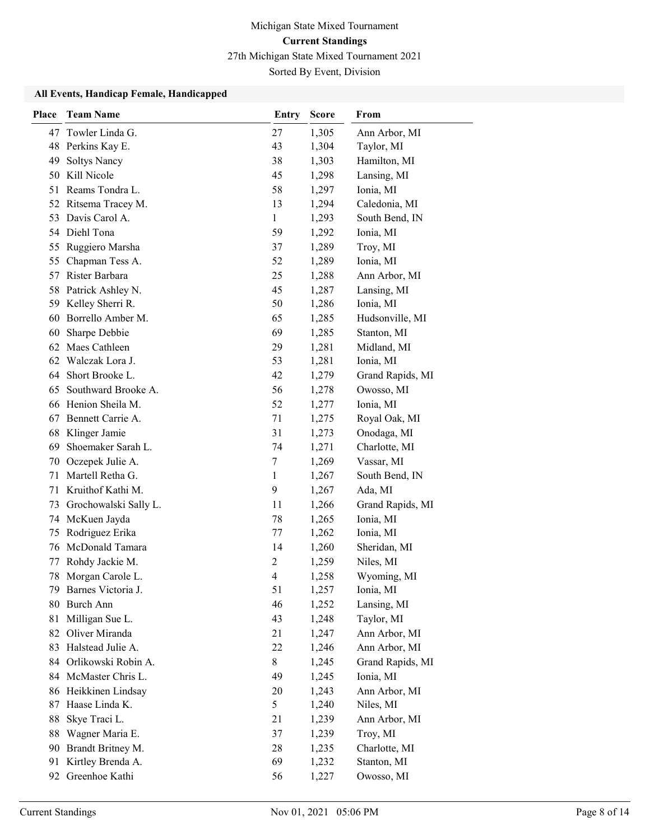Sorted By Event, Division

### All Events, Handicap Female, Handicapped

| <b>Place</b> | <b>Team Name</b>                       | Entry          | <b>Score</b>   | From                     |
|--------------|----------------------------------------|----------------|----------------|--------------------------|
| 47           | Towler Linda G.                        | 27             | 1,305          | Ann Arbor, MI            |
| 48           | Perkins Kay E.                         | 43             | 1,304          | Taylor, MI               |
| 49           | <b>Soltys Nancy</b>                    | 38             | 1,303          | Hamilton, MI             |
| 50           | Kill Nicole                            | 45             | 1,298          | Lansing, MI              |
| 51           | Reams Tondra L.                        | 58             | 1,297          | Ionia, MI                |
| 52           | Ritsema Tracey M.                      | 13             | 1,294          | Caledonia, MI            |
| 53           | Davis Carol A.                         | 1              | 1,293          | South Bend, IN           |
|              | 54 Diehl Tona                          | 59             | 1,292          | Ionia, MI                |
| 55           | Ruggiero Marsha                        | 37             | 1,289          | Troy, MI                 |
| 55           | Chapman Tess A.                        | 52             | 1,289          | Ionia, MI                |
| 57           | Rister Barbara                         | 25             | 1,288          | Ann Arbor, MI            |
| 58           | Patrick Ashley N.                      | 45             | 1,287          | Lansing, MI              |
| 59           | Kelley Sherri R.                       | 50             | 1,286          | Ionia, MI                |
| 60           | Borrello Amber M.                      | 65             | 1,285          | Hudsonville, MI          |
| 60           | Sharpe Debbie                          | 69             | 1,285          | Stanton, MI              |
|              | 62 Maes Cathleen                       | 29             | 1,281          | Midland, MI              |
| 62           | Walczak Lora J.                        | 53             | 1,281          | Ionia, MI                |
| 64           | Short Brooke L.                        | 42             | 1,279          | Grand Rapids, MI         |
| 65           | Southward Brooke A.                    | 56             | 1,278          | Owosso, MI               |
| 66           | Henion Sheila M.                       | 52             | 1,277          | Ionia, MI                |
| 67           | Bennett Carrie A.                      | 71             | 1,275          | Royal Oak, MI            |
| 68           | Klinger Jamie                          | 31             | 1,273          | Onodaga, MI              |
| 69           | Shoemaker Sarah L.                     | 74             | 1,271          | Charlotte, MI            |
| 70           | Oczepek Julie A.                       | 7              | 1,269          | Vassar, MI               |
| 71           | Martell Retha G.                       | $\mathbf{1}$   | 1,267          | South Bend, IN           |
| 71           | Kruithof Kathi M.                      | 9              | 1,267          | Ada, MI                  |
| 73           | Grochowalski Sally L.                  | 11             | 1,266          | Grand Rapids, MI         |
| 74           | McKuen Jayda                           | 78             | 1,265          | Ionia, MI                |
| 75           | Rodriguez Erika<br>McDonald Tamara     | 77             | 1,262          | Ionia, MI                |
| 76           |                                        | 14             | 1,260          | Sheridan, MI             |
| 77           | Rohdy Jackie M.                        | $\overline{c}$ | 1,259          | Niles, MI                |
| 78<br>79     | Morgan Carole L.<br>Barnes Victoria J. | 4<br>51        | 1,258<br>1,257 | Wyoming, MI<br>Ionia, MI |
| 80           | Burch Ann                              | 46             | 1,252          | Lansing, MI              |
| 81           | Milligan Sue L.                        | 43             | 1,248          | Taylor, MI               |
|              | 82 Oliver Miranda                      | 21             | 1,247          | Ann Arbor, MI            |
| 83           | Halstead Julie A.                      | 22             | 1,246          | Ann Arbor, MI            |
| 84           | Orlikowski Robin A.                    | 8              | 1,245          | Grand Rapids, MI         |
| 84           | McMaster Chris L.                      | 49             | 1,245          | Ionia, MI                |
|              | 86 Heikkinen Lindsay                   | 20             | 1,243          | Ann Arbor, MI            |
| 87           | Haase Linda K.                         | 5              | 1,240          | Niles, MI                |
| 88           | Skye Traci L.                          | 21             | 1,239          | Ann Arbor, MI            |
| 88           | Wagner Maria E.                        | 37             | 1,239          | Troy, MI                 |
|              | 90 Brandt Britney M.                   | 28             | 1,235          | Charlotte, MI            |
| 91           | Kirtley Brenda A.                      | 69             | 1,232          | Stanton, MI              |
| 92           | Greenhoe Kathi                         | 56             | 1,227          | Owosso, MI               |
|              |                                        |                |                |                          |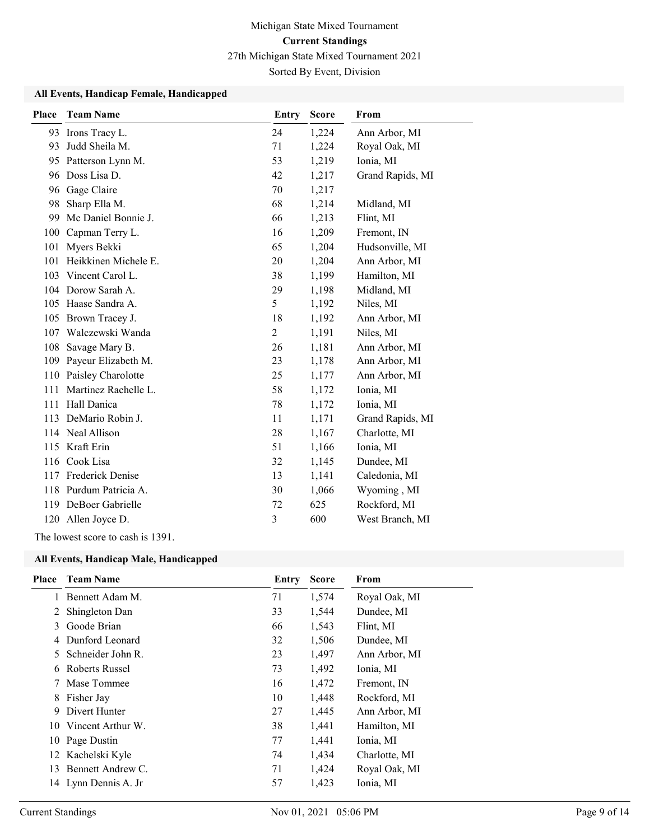Sorted By Event, Division

### All Events, Handicap Female, Handicapped

| Place | <b>Team Name</b>     | <b>Entry</b>   | <b>Score</b> | From             |
|-------|----------------------|----------------|--------------|------------------|
|       | 93 Irons Tracy L.    | 24             | 1,224        | Ann Arbor, MI    |
| 93    | Judd Sheila M.       | 71             | 1,224        | Royal Oak, MI    |
| 95    | Patterson Lynn M.    | 53             | 1,219        | Ionia, MI        |
| 96    | Doss Lisa D.         | 42             | 1,217        | Grand Rapids, MI |
| 96    | Gage Claire          | 70             | 1,217        |                  |
| 98    | Sharp Ella M.        | 68             | 1,214        | Midland, MI      |
| 99    | Mc Daniel Bonnie J.  | 66             | 1,213        | Flint, MI        |
| 100   | Capman Terry L.      | 16             | 1,209        | Fremont, IN      |
| 101   | Myers Bekki          | 65             | 1,204        | Hudsonville, MI  |
| 101   | Heikkinen Michele E. | 20             | 1,204        | Ann Arbor, MI    |
| 103   | Vincent Carol L.     | 38             | 1,199        | Hamilton, MI     |
|       | 104 Dorow Sarah A.   | 29             | 1,198        | Midland, MI      |
| 105   | Haase Sandra A.      | 5              | 1,192        | Niles, MI        |
| 105   | Brown Tracey J.      | 18             | 1,192        | Ann Arbor, MI    |
| 107   | Walczewski Wanda     | $\overline{c}$ | 1,191        | Niles, MI        |
| 108   | Savage Mary B.       | 26             | 1,181        | Ann Arbor, MI    |
| 109   | Payeur Elizabeth M.  | 23             | 1,178        | Ann Arbor, MI    |
| 110   | Paisley Charolotte   | 25             | 1,177        | Ann Arbor, MI    |
| 111   | Martinez Rachelle L. | 58             | 1,172        | Ionia, MI        |
| 111   | Hall Danica          | 78             | 1,172        | Ionia, MI        |
| 113   | DeMario Robin J.     | 11             | 1,171        | Grand Rapids, MI |
|       | 114 Neal Allison     | 28             | 1,167        | Charlotte, MI    |
|       | 115 Kraft Erin       | 51             | 1,166        | Ionia, MI        |
| 116   | Cook Lisa            | 32             | 1,145        | Dundee, MI       |
| 117   | Frederick Denise     | 13             | 1,141        | Caledonia, MI    |
| 118   | Purdum Patricia A.   | 30             | 1,066        | Wyoming, MI      |
| 119   | DeBoer Gabrielle     | 72             | 625          | Rockford, MI     |
|       | 120 Allen Joyce D.   | 3              | 600          | West Branch, MI  |

The lowest score to cash is 1391.

#### All Events, Handicap Male, Handicapped

| Place | <b>Team Name</b>     | Entry | <b>Score</b> | From          |
|-------|----------------------|-------|--------------|---------------|
|       | Bennett Adam M.      | 71    | 1,574        | Royal Oak, MI |
| 2     | Shingleton Dan       | 33    | 1,544        | Dundee, MI    |
| 3     | Goode Brian          | 66    | 1,543        | Flint, MI     |
| 4     | Dunford Leonard      | 32    | 1,506        | Dundee, MI    |
| 5.    | Schneider John R.    | 23    | 1,497        | Ann Arbor, MI |
| 6     | Roberts Russel       | 73    | 1,492        | Ionia, MI     |
|       | Mase Tommee          | 16    | 1,472        | Fremont, IN   |
| 8     | Fisher Jay           | 10    | 1,448        | Rockford, MI  |
| 9     | Divert Hunter        | 27    | 1,445        | Ann Arbor, MI |
|       | 10 Vincent Arthur W. | 38    | 1,441        | Hamilton, MI  |
|       | 10 Page Dustin       | 77    | 1,441        | Ionia, MI     |
| 12    | Kachelski Kyle       | 74    | 1,434        | Charlotte, MI |
| 13    | Bennett Andrew C.    | 71    | 1,424        | Royal Oak, MI |
|       | 14 Lynn Dennis A. Jr | 57    | 1,423        | Ionia, MI     |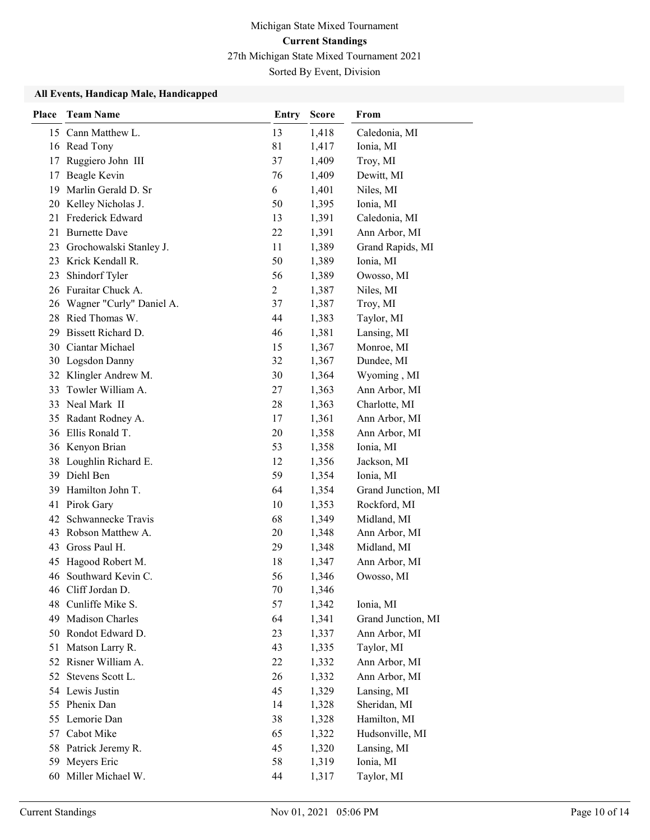Sorted By Event, Division

#### All Events, Handicap Male, Handicapped

| <b>Place</b> | <b>Team Name</b>         | <b>Entry</b>   | <b>Score</b> | From               |
|--------------|--------------------------|----------------|--------------|--------------------|
|              | 15 Cann Matthew L.       | 13             | 1,418        | Caledonia, MI      |
|              | 16 Read Tony             | 81             | 1,417        | Ionia, MI          |
| 17           | Ruggiero John III        | 37             | 1,409        | Troy, MI           |
| 17           | Beagle Kevin             | 76             | 1,409        | Dewitt, MI         |
| 19           | Marlin Gerald D. Sr      | 6              | 1,401        | Niles, MI          |
| 20           | Kelley Nicholas J.       | 50             | 1,395        | Ionia, MI          |
| 21           | Frederick Edward         | 13             | 1,391        | Caledonia, MI      |
| 21           | <b>Burnette Dave</b>     | 22             | 1,391        | Ann Arbor, MI      |
| 23           | Grochowalski Stanley J.  | 11             | 1,389        | Grand Rapids, MI   |
| 23           | Krick Kendall R.         | 50             | 1,389        | Ionia, MI          |
| 23           | Shindorf Tyler           | 56             | 1,389        | Owosso, MI         |
|              | 26 Furaitar Chuck A.     | $\overline{2}$ | 1,387        | Niles, MI          |
| 26           | Wagner "Curly" Daniel A. | 37             | 1,387        | Troy, MI           |
| 28           | Ried Thomas W.           | 44             | 1,383        | Taylor, MI         |
| 29           | Bissett Richard D.       | 46             | 1,381        | Lansing, MI        |
| 30-          | Ciantar Michael          | 15             | 1,367        | Monroe, MI         |
|              | 30 Logsdon Danny         | 32             | 1,367        | Dundee, MI         |
|              | 32 Klingler Andrew M.    | 30             | 1,364        | Wyoming, MI        |
| 33           | Towler William A.        | 27             | 1,363        | Ann Arbor, MI      |
| 33           | Neal Mark II             | 28             | 1,363        | Charlotte, MI      |
| 35           | Radant Rodney A.         | 17             | 1,361        | Ann Arbor, MI      |
|              | 36 Ellis Ronald T.       | 20             | 1,358        | Ann Arbor, MI      |
|              | 36 Kenyon Brian          | 53             | 1,358        | Ionia, MI          |
| 38           | Loughlin Richard E.      | 12             | 1,356        | Jackson, MI        |
| 39           | Diehl Ben                | 59             | 1,354        | Ionia, MI          |
| 39           | Hamilton John T.         | 64             | 1,354        | Grand Junction, MI |
| 41           | Pirok Gary               | 10             | 1,353        | Rockford, MI       |
| 42           | Schwannecke Travis       | 68             | 1,349        | Midland, MI        |
| 43           | Robson Matthew A.        | 20             | 1,348        | Ann Arbor, MI      |
| 43           | Gross Paul H.            | 29             | 1,348        | Midland, MI        |
| 45           | Hagood Robert M.         | 18             | 1,347        | Ann Arbor, MI      |
|              | 46 Southward Kevin C.    | 56             | 1,346        | Owosso, MI         |
| 46           | Cliff Jordan D.          | 70             | 1,346        |                    |
| 48           | Cunliffe Mike S.         | 57             | 1,342        | Ionia, MI          |
| 49           | Madison Charles          | 64             | 1,341        | Grand Junction, MI |
| 50           | Rondot Edward D.         | 23             | 1,337        | Ann Arbor, MI      |
| 51           | Matson Larry R.          | 43             | 1,335        | Taylor, MI         |
|              | 52 Risner William A.     | 22             | 1,332        | Ann Arbor, MI      |
| 52           | Stevens Scott L.         | 26             | 1,332        | Ann Arbor, MI      |
|              | 54 Lewis Justin          | 45             | 1,329        | Lansing, MI        |
| 55           | Phenix Dan               | 14             | 1,328        | Sheridan, MI       |
| 55           | Lemorie Dan              | 38             | 1,328        | Hamilton, MI       |
| 57           | Cabot Mike               | 65             | 1,322        | Hudsonville, MI    |
| 58           | Patrick Jeremy R.        | 45             | 1,320        | Lansing, MI        |
| 59           | Meyers Eric              | 58             | 1,319        | Ionia, MI          |
|              | 60 Miller Michael W.     | 44             | 1,317        | Taylor, MI         |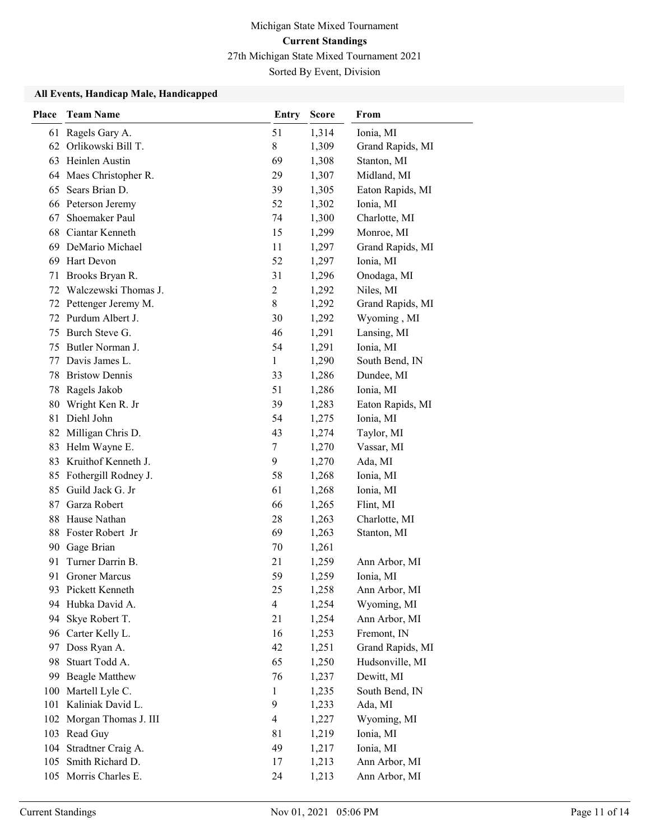Sorted By Event, Division

#### All Events, Handicap Male, Handicapped

| <b>Place</b> | <b>Team Name</b>      | Entry          | <b>Score</b> | From             |
|--------------|-----------------------|----------------|--------------|------------------|
| 61           | Ragels Gary A.        | 51             | 1,314        | Ionia, MI        |
| 62           | Orlikowski Bill T.    | 8              | 1,309        | Grand Rapids, MI |
| 63           | Heinlen Austin        | 69             | 1,308        | Stanton, MI      |
| 64           | Maes Christopher R.   | 29             | 1,307        | Midland, MI      |
| 65           | Sears Brian D.        | 39             | 1,305        | Eaton Rapids, MI |
|              | 66 Peterson Jeremy    | 52             | 1,302        | Ionia, MI        |
| 67           | Shoemaker Paul        | 74             | 1,300        | Charlotte, MI    |
| 68           | Ciantar Kenneth       | 15             | 1,299        | Monroe, MI       |
| 69           | DeMario Michael       | 11             | 1,297        | Grand Rapids, MI |
| 69           | Hart Devon            | 52             | 1,297        | Ionia, MI        |
| 71           | Brooks Bryan R.       | 31             | 1,296        | Onodaga, MI      |
| 72           | Walczewski Thomas J.  | $\overline{c}$ | 1,292        | Niles, MI        |
| 72           | Pettenger Jeremy M.   | $8\,$          | 1,292        | Grand Rapids, MI |
|              | 72 Purdum Albert J.   | 30             | 1,292        | Wyoming, MI      |
| 75           | Burch Steve G.        | 46             | 1,291        | Lansing, MI      |
| 75           | Butler Norman J.      | 54             | 1,291        | Ionia, MI        |
| 77           | Davis James L.        | $\mathbf{1}$   | 1,290        | South Bend, IN   |
| 78           | <b>Bristow Dennis</b> | 33             | 1,286        | Dundee, MI       |
| 78           | Ragels Jakob          | 51             | 1,286        | Ionia, MI        |
| 80           | Wright Ken R. Jr      | 39             | 1,283        | Eaton Rapids, MI |
| 81           | Diehl John            | 54             | 1,275        | Ionia, MI        |
| 82           | Milligan Chris D.     | 43             | 1,274        | Taylor, MI       |
| 83           | Helm Wayne E.         | 7              | 1,270        | Vassar, MI       |
| 83           | Kruithof Kenneth J.   | 9              | 1,270        | Ada, MI          |
| 85           | Fothergill Rodney J.  | 58             | 1,268        | Ionia, MI        |
| 85           | Guild Jack G. Jr      | 61             | 1,268        | Ionia, MI        |
| 87           | Garza Robert          | 66             | 1,265        | Flint, MI        |
| 88           | Hause Nathan          | 28             | 1,263        | Charlotte, MI    |
| 88           | Foster Robert Jr      | 69             | 1,263        | Stanton, MI      |
| 90           | Gage Brian            | 70             | 1,261        |                  |
| 91           | Turner Darrin B.      | 21             | 1,259        | Ann Arbor, MI    |
| 91           | <b>Groner Marcus</b>  | 59             | 1,259        | Ionia, MI        |
|              | 93 Pickett Kenneth    | 25             | 1,258        | Ann Arbor, MI    |
| 94           | Hubka David A.        | $\overline{4}$ | 1,254        | Wyoming, MI      |
| 94           | Skye Robert T.        | 21             | 1,254        | Ann Arbor, MI    |
|              | 96 Carter Kelly L.    | 16             | 1,253        | Fremont, IN      |
| 97           | Doss Ryan A.          | 42             | 1,251        | Grand Rapids, MI |
| 98           | Stuart Todd A.        | 65             | 1,250        | Hudsonville, MI  |
| 99           | <b>Beagle Matthew</b> | 76             | 1,237        | Dewitt, MI       |
| 100          | Martell Lyle C.       | $\mathbf{1}$   | 1,235        | South Bend, IN   |
| 101          | Kaliniak David L.     | 9              | 1,233        | Ada, MI          |
| 102          | Morgan Thomas J. III  | $\overline{4}$ | 1,227        | Wyoming, MI      |
|              | 103 Read Guy          | 81             | 1,219        | Ionia, MI        |
| 104          | Stradtner Craig A.    | 49             | 1,217        | Ionia, MI        |
| 105          | Smith Richard D.      | 17             | 1,213        | Ann Arbor, MI    |
|              | 105 Morris Charles E. | 24             | 1,213        | Ann Arbor, MI    |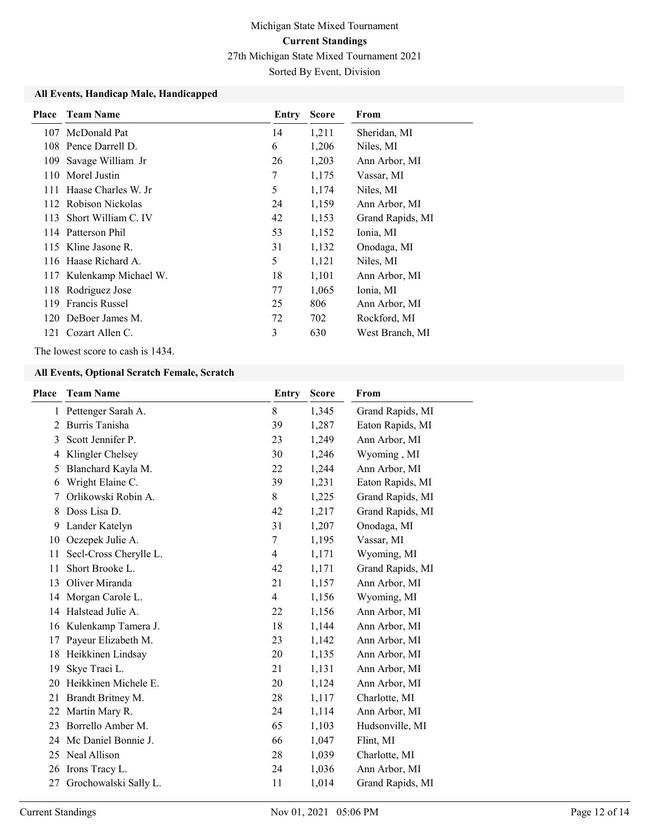Sorted By Event, Division

#### All Events, Handicap Male, Handicapped

| Place | <b>Team Name</b>         | Entry | <b>Score</b> | From             |
|-------|--------------------------|-------|--------------|------------------|
| 107   | McDonald Pat             | 14    | 1,211        | Sheridan, MI     |
|       | 108 Pence Darrell D.     | 6     | 1,206        | Niles, MI        |
| 109   | Savage William Jr        | 26    | 1,203        | Ann Arbor, MI    |
| 110   | Morel Justin             | 7     | 1,175        | Vassar, MI       |
| 111   | Haase Charles W. Jr      | 5     | 1,174        | Niles, MI        |
|       | 112 Robison Nickolas     | 24    | 1,159        | Ann Arbor, MI    |
| 113   | Short William C. IV      | 42    | 1,153        | Grand Rapids, MI |
|       | 114 Patterson Phil       | 53    | 1,152        | Ionia, MI        |
|       | 115 Kline Jasone R.      | 31    | 1,132        | Onodaga, MI      |
|       | 116 Haase Richard A.     | 5     | 1,121        | Niles, MI        |
|       | 117 Kulenkamp Michael W. | 18    | 1,101        | Ann Arbor, MI    |
| 118   | Rodriguez Jose           | 77    | 1,065        | Ionia, MI        |
| 119   | Francis Russel           | 25    | 806          | Ann Arbor, MI    |
|       | 120 DeBoer James M.      | 72    | 702          | Rockford, MI     |
| 121   | Cozart Allen C.          | 3     | 630          | West Branch, MI  |

The lowest score to cash is 1434.

#### All Events, Optional Scratch Female, Scratch

| Place | <b>Team Name</b>       | Entry          | <b>Score</b> | From             |
|-------|------------------------|----------------|--------------|------------------|
| 1     | Pettenger Sarah A.     | 8              | 1,345        | Grand Rapids, MI |
| 2     | Burris Tanisha         | 39             | 1,287        | Eaton Rapids, MI |
| 3     | Scott Jennifer P.      | 23             | 1,249        | Ann Arbor, MI    |
| 4     | Klingler Chelsey       | 30             | 1,246        | Wyoming, MI      |
| 5     | Blanchard Kayla M.     | 22             | 1,244        | Ann Arbor, MI    |
| 6     | Wright Elaine C.       | 39             | 1,231        | Eaton Rapids, MI |
|       | Orlikowski Robin A.    | 8              | 1,225        | Grand Rapids, MI |
| 8     | Doss Lisa D.           | 42             | 1,217        | Grand Rapids, MI |
| 9     | Lander Katelyn         | 31             | 1,207        | Onodaga, MI      |
|       | 10 Oczepek Julie A.    | 7              | 1,195        | Vassar, MI       |
| 11    | Secl-Cross Cherylle L. | $\overline{4}$ | 1,171        | Wyoming, MI      |
| 11    | Short Brooke L.        | 42             | 1,171        | Grand Rapids, MI |
| 13    | Oliver Miranda         | 21             | 1,157        | Ann Arbor, MI    |
| 14    | Morgan Carole L.       | $\overline{4}$ | 1,156        | Wyoming, MI      |
| 14    | Halstead Julie A.      | 22             | 1,156        | Ann Arbor, MI    |
| 16    | Kulenkamp Tamera J.    | 18             | 1,144        | Ann Arbor, MI    |
| 17    | Payeur Elizabeth M.    | 23             | 1,142        | Ann Arbor, MI    |
| 18    | Heikkinen Lindsay      | 20             | 1,135        | Ann Arbor, MI    |
| 19    | Skye Traci L.          | 21             | 1,131        | Ann Arbor, MI    |
| 20    | Heikkinen Michele E.   | 20             | 1,124        | Ann Arbor, MI    |
| 21    | Brandt Britney M.      | 28             | 1,117        | Charlotte, MI    |
| 22    | Martin Mary R.         | 24             | 1,114        | Ann Arbor, MI    |
| 23    | Borrello Amber M.      | 65             | 1,103        | Hudsonville, MI  |
| 24    | Mc Daniel Bonnie J.    | 66             | 1,047        | Flint, MI        |
| 25    | Neal Allison           | 28             | 1,039        | Charlotte, MI    |
| 26    | Irons Tracy L.         | 24             | 1,036        | Ann Arbor, MI    |
| 27    | Grochowalski Sally L.  | 11             | 1,014        | Grand Rapids, MI |
|       |                        |                |              |                  |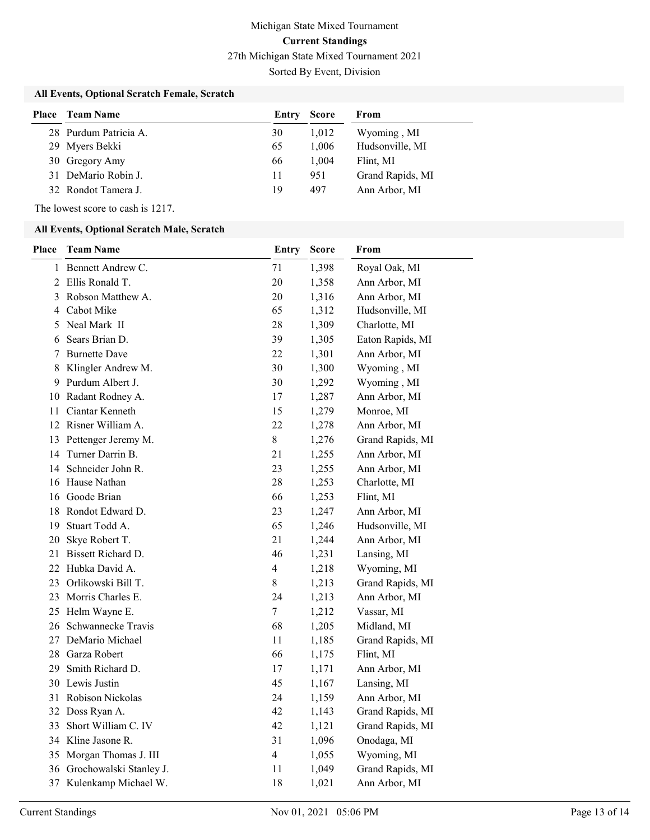Sorted By Event, Division

### All Events, Optional Scratch Female, Scratch

| Place | <b>Team Name</b>      | Entry | <b>Score</b> | From             |
|-------|-----------------------|-------|--------------|------------------|
|       | 28 Purdum Patricia A. | 30    | 1,012        | Wyoming, MI      |
|       | 29 Myers Bekki        | 65    | 1.006        | Hudsonville, MI  |
|       | 30 Gregory Amy        | 66    | 1.004        | Flint, MI        |
|       | 31 DeMario Robin J.   | 11    | 951          | Grand Rapids, MI |
|       | 32 Rondot Tamera J.   | 19    | 497          | Ann Arbor, MI    |

The lowest score to cash is 1217.

### All Events, Optional Scratch Male, Scratch

| <b>Place</b> | <b>Team Name</b>           | Entry            | Score | From             |
|--------------|----------------------------|------------------|-------|------------------|
|              | 1 Bennett Andrew C.        | 71               | 1,398 | Royal Oak, MI    |
| 2            | Ellis Ronald T.            | 20               | 1,358 | Ann Arbor, MI    |
| 3            | Robson Matthew A.          | 20               | 1,316 | Ann Arbor, MI    |
| 4            | Cabot Mike                 | 65               | 1,312 | Hudsonville, MI  |
| 5.           | Neal Mark II               | 28               | 1,309 | Charlotte, MI    |
| 6            | Sears Brian D.             | 39               | 1,305 | Eaton Rapids, MI |
| 7            | <b>Burnette Dave</b>       | 22               | 1,301 | Ann Arbor, MI    |
| 8            | Klingler Andrew M.         | 30               | 1,300 | Wyoming, MI      |
| 9            | Purdum Albert J.           | 30               | 1,292 | Wyoming, MI      |
| 10           | Radant Rodney A.           | 17               | 1,287 | Ann Arbor, MI    |
| 11           | Ciantar Kenneth            | 15               | 1,279 | Monroe, MI       |
|              | 12 Risner William A.       | 22               | 1,278 | Ann Arbor, MI    |
|              | 13 Pettenger Jeremy M.     | $8\,$            | 1,276 | Grand Rapids, MI |
|              | 14 Turner Darrin B.        | 21               | 1,255 | Ann Arbor, MI    |
|              | 14 Schneider John R.       | 23               | 1,255 | Ann Arbor, MI    |
| 16           | Hause Nathan               | 28               | 1,253 | Charlotte, MI    |
|              | 16 Goode Brian             | 66               | 1,253 | Flint, MI        |
| 18           | Rondot Edward D.           | 23               | 1,247 | Ann Arbor, MI    |
| 19           | Stuart Todd A.             | 65               | 1,246 | Hudsonville, MI  |
| 20           | Skye Robert T.             | 21               | 1,244 | Ann Arbor, MI    |
| 21           | Bissett Richard D.         | 46               | 1,231 | Lansing, MI      |
|              | 22 Hubka David A.          | 4                | 1,218 | Wyoming, MI      |
|              | 23 Orlikowski Bill T.      | $8\,$            | 1,213 | Grand Rapids, MI |
| 23           | Morris Charles E.          | 24               | 1,213 | Ann Arbor, MI    |
| 25           | Helm Wayne E.              | $\boldsymbol{7}$ | 1,212 | Vassar, MI       |
|              | 26 Schwannecke Travis      | 68               | 1,205 | Midland, MI      |
| 27           | DeMario Michael            | 11               | 1,185 | Grand Rapids, MI |
|              | 28 Garza Robert            | 66               | 1,175 | Flint, MI        |
| 29           | Smith Richard D.           | 17               | 1,171 | Ann Arbor, MI    |
|              | 30 Lewis Justin            | 45               | 1,167 | Lansing, MI      |
|              | 31 Robison Nickolas        | 24               | 1,159 | Ann Arbor, MI    |
|              | 32 Doss Ryan A.            | 42               | 1,143 | Grand Rapids, MI |
| 33           | Short William C. IV        | 42               | 1,121 | Grand Rapids, MI |
|              | 34 Kline Jasone R.         | 31               | 1,096 | Onodaga, MI      |
|              | 35 Morgan Thomas J. III    | $\overline{4}$   | 1,055 | Wyoming, MI      |
|              | 36 Grochowalski Stanley J. | 11               | 1,049 | Grand Rapids, MI |
|              | 37 Kulenkamp Michael W.    | 18               | 1,021 | Ann Arbor, MI    |